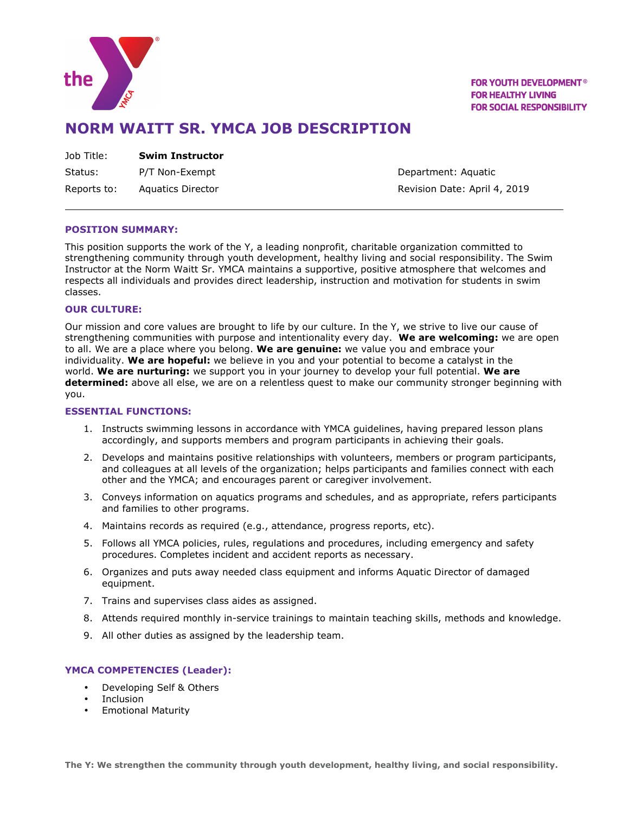

**FOR YOUTH DEVELOPMENT<sup>®</sup> FOR HEALTHY LIVING FOR SOCIAL RESPONSIBILITY** 

## **NORM WAITT SR. YMCA JOB DESCRIPTION**

Status: P/T Non-Exempt **Department: Aquatic** 

Reports to: Aquatics Director **Revision Date: April 4, 2019** 

## **POSITION SUMMARY:**

This position supports the work of the Y, a leading nonprofit, charitable organization committed to strengthening community through youth development, healthy living and social responsibility. The Swim Instructor at the Norm Waitt Sr. YMCA maintains a supportive, positive atmosphere that welcomes and respects all individuals and provides direct leadership, instruction and motivation for students in swim classes.

#### **OUR CULTURE:**

Our mission and core values are brought to life by our culture. In the Y, we strive to live our cause of strengthening communities with purpose and intentionality every day. **We are welcoming:** we are open to all. We are a place where you belong. **We are genuine:** we value you and embrace your individuality. **We are hopeful:** we believe in you and your potential to become a catalyst in the world. **We are nurturing:** we support you in your journey to develop your full potential. **We are determined:** above all else, we are on a relentless quest to make our community stronger beginning with you.

#### **ESSENTIAL FUNCTIONS:**

- 1. Instructs swimming lessons in accordance with YMCA guidelines, having prepared lesson plans accordingly, and supports members and program participants in achieving their goals.
- 2. Develops and maintains positive relationships with volunteers, members or program participants, and colleagues at all levels of the organization; helps participants and families connect with each other and the YMCA; and encourages parent or caregiver involvement.
- 3. Conveys information on aquatics programs and schedules, and as appropriate, refers participants and families to other programs.
- 4. Maintains records as required (e.g., attendance, progress reports, etc).
- 5. Follows all YMCA policies, rules, regulations and procedures, including emergency and safety procedures. Completes incident and accident reports as necessary.
- 6. Organizes and puts away needed class equipment and informs Aquatic Director of damaged equipment.
- 7. Trains and supervises class aides as assigned.
- 8. Attends required monthly in-service trainings to maintain teaching skills, methods and knowledge.
- 9. All other duties as assigned by the leadership team.

## **YMCA COMPETENCIES (Leader):**

- Developing Self & Others
- **Inclusion**
- Emotional Maturity